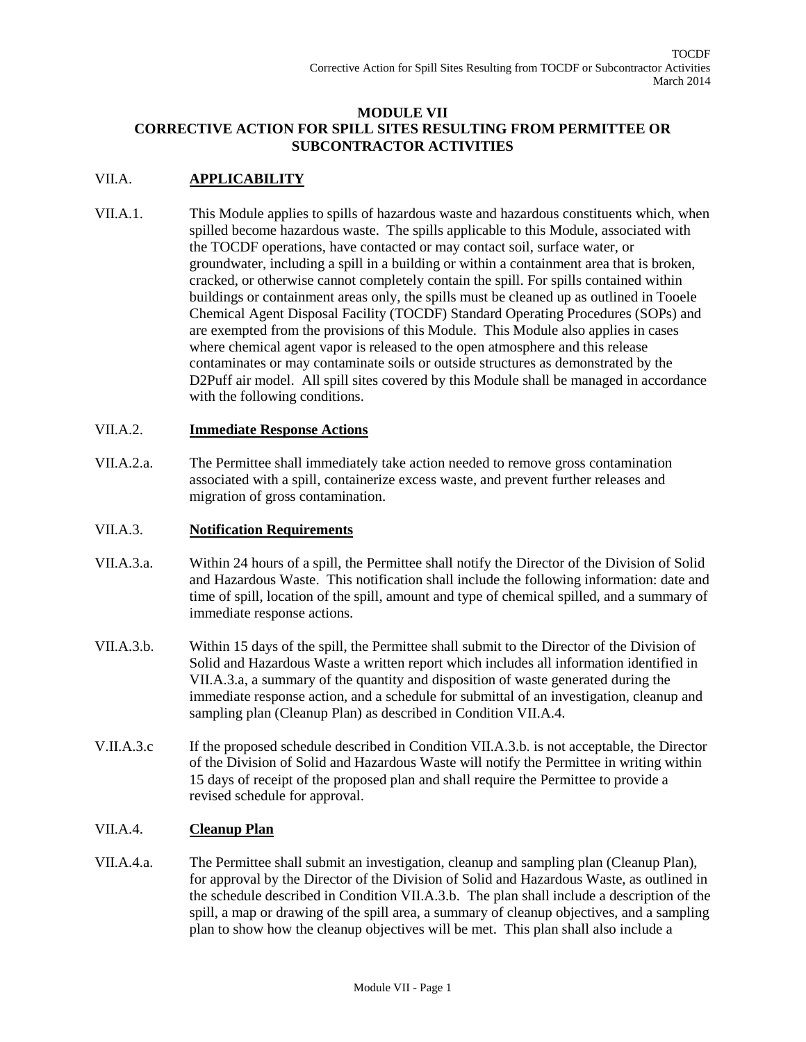### **MODULE VII CORRECTIVE ACTION FOR SPILL SITES RESULTING FROM PERMITTEE OR SUBCONTRACTOR ACTIVITIES**

# VII.A. **APPLICABILITY**

VII.A.1. This Module applies to spills of hazardous waste and hazardous constituents which, when spilled become hazardous waste. The spills applicable to this Module, associated with the TOCDF operations, have contacted or may contact soil, surface water, or groundwater, including a spill in a building or within a containment area that is broken, cracked, or otherwise cannot completely contain the spill. For spills contained within buildings or containment areas only, the spills must be cleaned up as outlined in Tooele Chemical Agent Disposal Facility (TOCDF) Standard Operating Procedures (SOPs) and are exempted from the provisions of this Module. This Module also applies in cases where chemical agent vapor is released to the open atmosphere and this release contaminates or may contaminate soils or outside structures as demonstrated by the D2Puff air model. All spill sites covered by this Module shall be managed in accordance with the following conditions.

# VII.A.2. **Immediate Response Actions**

VII.A.2.a. The Permittee shall immediately take action needed to remove gross contamination associated with a spill, containerize excess waste, and prevent further releases and migration of gross contamination.

#### VII.A.3. **Notification Requirements**

- VII.A.3.a. Within 24 hours of a spill, the Permittee shall notify the Director of the Division of Solid and Hazardous Waste. This notification shall include the following information: date and time of spill, location of the spill, amount and type of chemical spilled, and a summary of immediate response actions.
- VII.A.3.b. Within 15 days of the spill, the Permittee shall submit to the Director of the Division of Solid and Hazardous Waste a written report which includes all information identified in VII.A.3.a, a summary of the quantity and disposition of waste generated during the immediate response action, and a schedule for submittal of an investigation, cleanup and sampling plan (Cleanup Plan) as described in Condition VII.A.4.
- V.II.A.3.c If the proposed schedule described in Condition VII.A.3.b. is not acceptable, the Director of the Division of Solid and Hazardous Waste will notify the Permittee in writing within 15 days of receipt of the proposed plan and shall require the Permittee to provide a revised schedule for approval.

# VII.A.4. **Cleanup Plan**

VII.A.4.a. The Permittee shall submit an investigation, cleanup and sampling plan (Cleanup Plan), for approval by the Director of the Division of Solid and Hazardous Waste, as outlined in the schedule described in Condition VII.A.3.b. The plan shall include a description of the spill, a map or drawing of the spill area, a summary of cleanup objectives, and a sampling plan to show how the cleanup objectives will be met. This plan shall also include a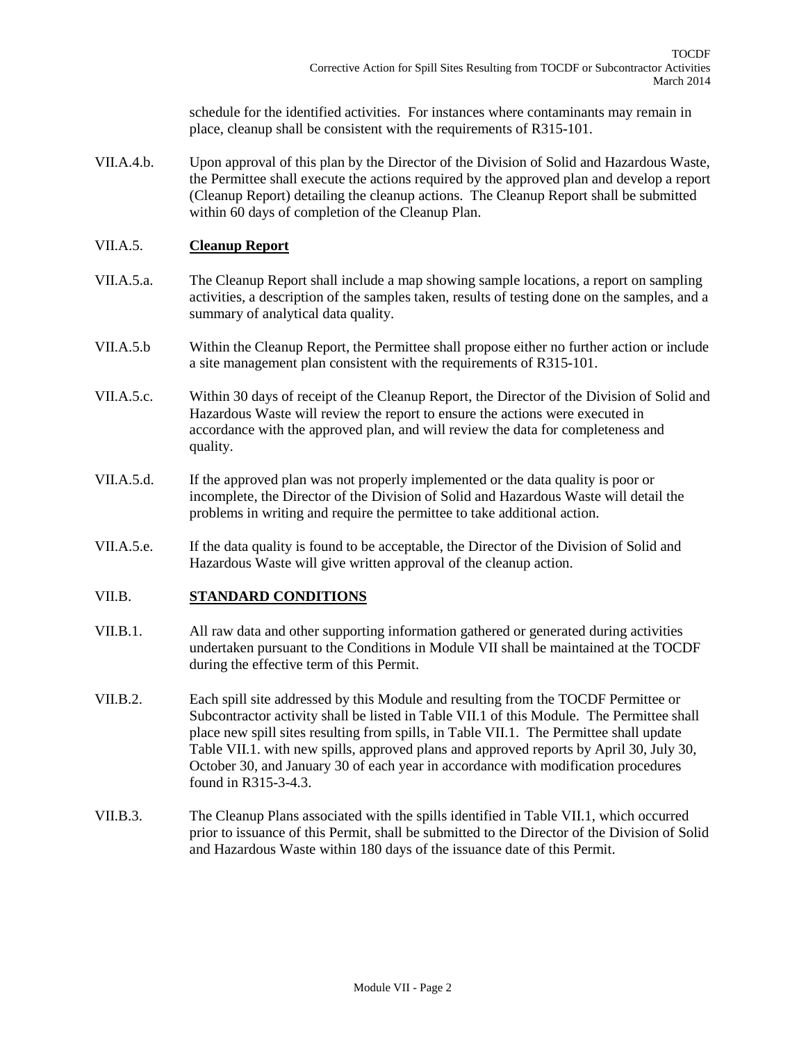schedule for the identified activities. For instances where contaminants may remain in place, cleanup shall be consistent with the requirements of R315-101.

VII.A.4.b. Upon approval of this plan by the Director of the Division of Solid and Hazardous Waste, the Permittee shall execute the actions required by the approved plan and develop a report (Cleanup Report) detailing the cleanup actions. The Cleanup Report shall be submitted within 60 days of completion of the Cleanup Plan.

### VII.A.5. **Cleanup Report**

- VII.A.5.a. The Cleanup Report shall include a map showing sample locations, a report on sampling activities, a description of the samples taken, results of testing done on the samples, and a summary of analytical data quality.
- VII.A.5.b Within the Cleanup Report, the Permittee shall propose either no further action or include a site management plan consistent with the requirements of R315-101.
- VII.A.5.c. Within 30 days of receipt of the Cleanup Report, the Director of the Division of Solid and Hazardous Waste will review the report to ensure the actions were executed in accordance with the approved plan, and will review the data for completeness and quality.
- VII.A.5.d. If the approved plan was not properly implemented or the data quality is poor or incomplete, the Director of the Division of Solid and Hazardous Waste will detail the problems in writing and require the permittee to take additional action.
- VII.A.5.e. If the data quality is found to be acceptable, the Director of the Division of Solid and Hazardous Waste will give written approval of the cleanup action.

#### VII.B. **STANDARD CONDITIONS**

- VII.B.1. All raw data and other supporting information gathered or generated during activities undertaken pursuant to the Conditions in Module VII shall be maintained at the TOCDF during the effective term of this Permit.
- VII.B.2. Each spill site addressed by this Module and resulting from the TOCDF Permittee or Subcontractor activity shall be listed in Table VII.1 of this Module. The Permittee shall place new spill sites resulting from spills, in Table VII.1. The Permittee shall update Table VII.1. with new spills, approved plans and approved reports by April 30, July 30, October 30, and January 30 of each year in accordance with modification procedures found in R315-3-4.3.
- VII.B.3. The Cleanup Plans associated with the spills identified in Table VII.1, which occurred prior to issuance of this Permit, shall be submitted to the Director of the Division of Solid and Hazardous Waste within 180 days of the issuance date of this Permit.